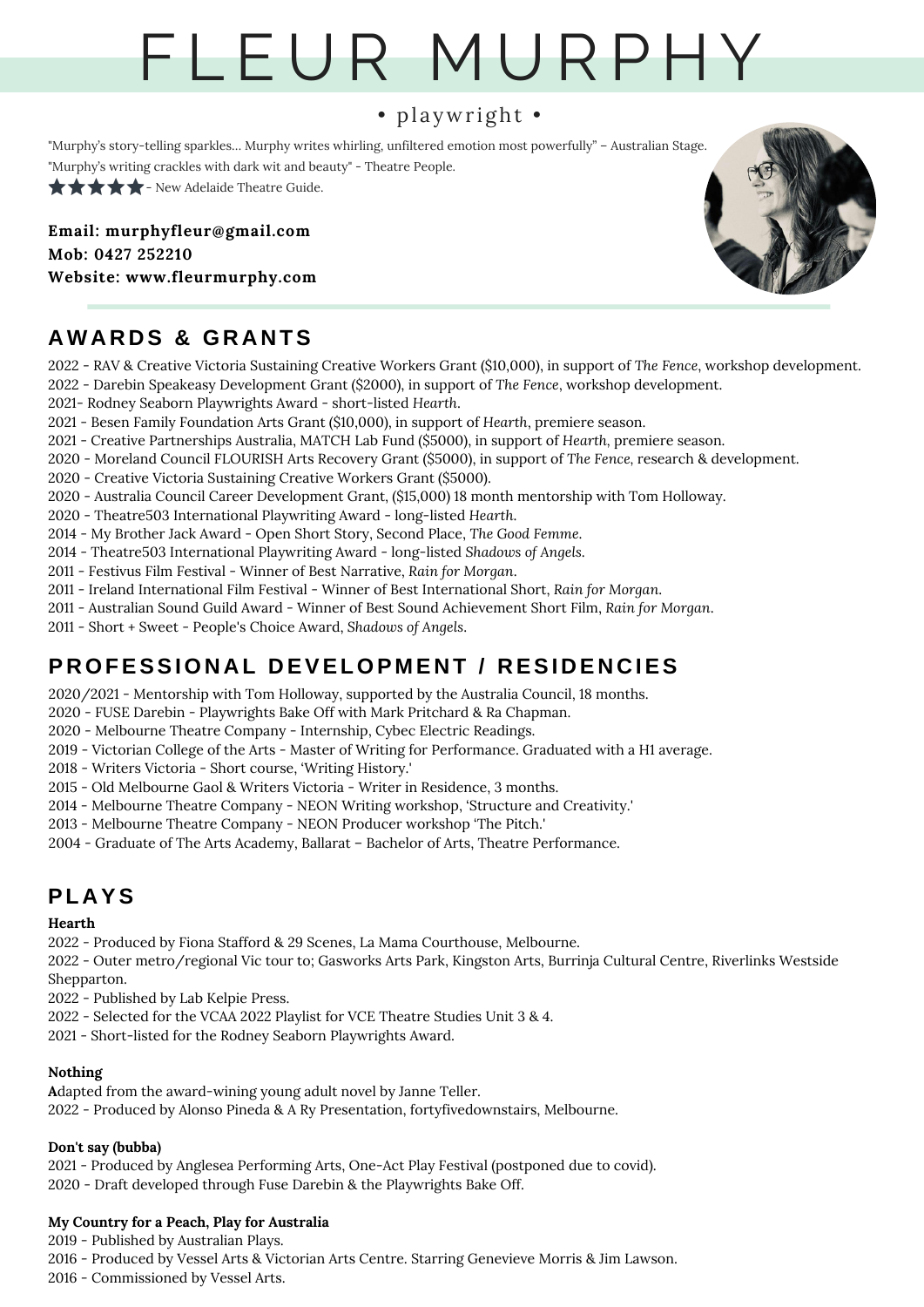# F L E U R M U R P H Y

## • playwright •

"Murphy's story-telling sparkles… Murphy writes whirling, unfiltered emotion most powerfully" – Australian Stage.

"Murphy's writing crackles with dark wit and beauty" - Theatre People.

 $\star \star \star \star$  - New Adelaide Theatre Guide.

**Email: murphyfleur@gmail.com Mob: 0427 252210 Website: www.fleurmurphy.com**



# **AWA R D S & GR A N TS**

- RAV & Creative Victoria Sustaining Creative Workers Grant (\$10,000), in support of *The Fence*, workshop development. - Darebin Speakeasy Development Grant (\$2000), in support of *The Fence*, workshop development.
- 2021- Rodney Seaborn Playwrights Award short-listed *Hearth*.
- Besen Family Foundation Arts Grant (\$10,000), in support of *Hearth*, premiere season.
- Creative Partnerships Australia, MATCH Lab Fund (\$5000), in support of *Hearth,* premiere season.
- Moreland Council FLOURISH Arts Recovery Grant (\$5000), in support of *The Fence,* research & development.
- Creative Victoria Sustaining Creative Workers Grant (\$5000).
- Australia Council Career Development Grant, (\$15,000) 18 month mentorship with Tom Holloway.
- Theatre503 International Playwriting Award long-listed *Hearth*.
- My Brother Jack Award Open Short Story, Second Place, *The Good Femme*.
- Theatre503 International Playwriting Award long-listed *Shadows of Angels*.
- Festivus Film Festival Winner of Best Narrative, *Rain for Morgan*.
- Ireland International Film Festival Winner of Best International Short, *Rain for Morgan*.
- Australian Sound Guild Award Winner of Best Sound Achievement Short Film, *Rain for Morgan*.
- Short + Sweet People's Choice Award, *Shadows of Angels*.

# **P ROFESSION A L D EVELOP M E N T / R ESI D E N C IES**

- 2020/2021 Mentorship with Tom Holloway, supported by the Australia Council, 18 months.
- FUSE Darebin Playwrights Bake Off with Mark Pritchard & Ra Chapman.
- Melbourne Theatre Company Internship, Cybec Electric Readings.
- Victorian College of the Arts Master of Writing for Performance. Graduated with a H1 average.
- Writers Victoria Short course, 'Writing History.'
- Old Melbourne Gaol & Writers Victoria Writer in Residence, 3 months.
- Melbourne Theatre Company NEON Writing workshop, 'Structure and Creativity.'
- Melbourne Theatre Company NEON Producer workshop 'The Pitch.'
- Graduate of The Arts Academy, Ballarat Bachelor of Arts, Theatre Performance.

# **PL A YS**

## **Hearth**

- Produced by Fiona Stafford & 29 Scenes, La Mama Courthouse, Melbourne.

 - Outer metro/regional Vic tour to; Gasworks Arts Park, Kingston Arts, Burrinja Cultural Centre, Riverlinks Westside Shepparton.

- Published by Lab Kelpie Press.

- Selected for the VCAA 2022 Playlist for VCE Theatre Studies Unit 3 & 4.
- Short-listed for the Rodney Seaborn Playwrights Award.

## **Nothing**

**A**dapted from the award-wining young adult novel by Janne Teller. - Produced by Alonso Pineda & A Ry Presentation, fortyfivedownstairs, Melbourne.

## **Don't say (bubba)**

 - Produced by Anglesea Performing Arts, One-Act Play Festival (postponed due to covid). - Draft developed through Fuse Darebin & the Playwrights Bake Off.

## **My Country for a Peach, Play for Australia**

 - Published by Australian Plays. - Produced by Vessel Arts & Victorian Arts Centre. Starring Genevieve Morris & Jim Lawson. - Commissioned by Vessel Arts.